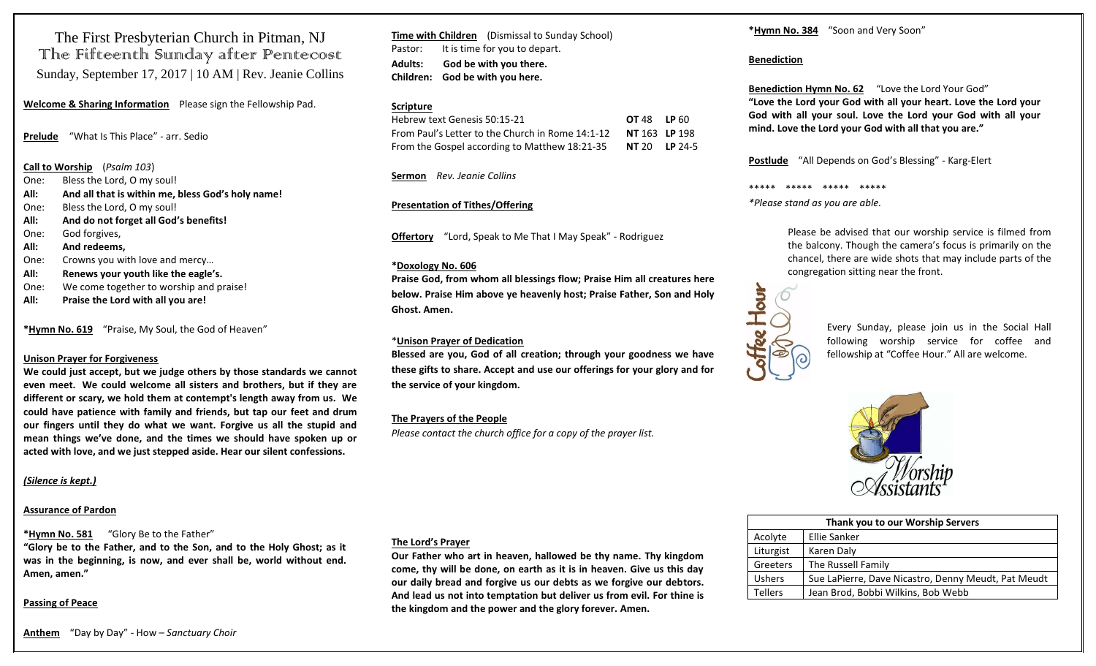The First Presbyterian Church in Pitman, NJ The Fifteenth Sunday after Pentecost Sunday, September 17, 2017 | 10 AM | Rev. Jeanie Collins

**Welcome & Sharing Information** Please sign the Fellowship Pad.

**Prelude** "What Is This Place" - arr. Sedio

#### **Call to Worship** (*Psalm 103*)

- One: Bless the Lord, O my soul!
- **All: And all that is within me, bless God's holy name!**
- One: Bless the Lord, O my soul!
- **All: And do not forget all God's benefits!**
- One: God forgives,
- **All: And redeems,**
- One: Crowns you with love and mercy…
- **All: Renews your youth like the eagle's.**
- One: We come together to worship and praise!
- **All: Praise the Lord with all you are!**

**\*Hymn No. 619** "Praise, My Soul, the God of Heaven"

#### **Unison Prayer for Forgiveness**

**We could just accept, but we judge others by those standards we cannot even meet. We could welcome all sisters and brothers, but if they are different or scary, we hold them at contempt's length away from us. We could have patience with family and friends, but tap our feet and drum our fingers until they do what we want. Forgive us all the stupid and mean things we've done, and the times we should have spoken up or acted with love, and we just stepped aside. Hear our silent confessions.**

#### *(Silence is kept.)*

# **Assurance of Pardon**

# **\*Hymn No. 581** "Glory Be to the Father"

**"Glory be to the Father, and to the Son, and to the Holy Ghost; as it was in the beginning, is now, and ever shall be, world without end. Amen, amen."**

# **Passing of Peace**

**Time with Children** (Dismissal to Sunday School) Pastor: It is time for you to depart. **Adults: God be with you there. Children: God be with you here.**

#### **Scripture**

| Hebrew text Genesis 50:15-21                     | <b>OT 48 LP 60</b>   |  |
|--------------------------------------------------|----------------------|--|
| From Paul's Letter to the Church in Rome 14:1-12 | <b>NT</b> 163 LP 198 |  |
| From the Gospel according to Matthew 18:21-35    | $NT 20$ LP 24-5      |  |

**Sermon** *Rev. Jeanie Collins* 

#### **Presentation of Tithes/Offering**

**Offertory** "Lord, Speak to Me That I May Speak" - Rodriguez

#### **\*Doxology No. 606**

**Praise God, from whom all blessings flow; Praise Him all creatures here below. Praise Him above ye heavenly host; Praise Father, Son and Holy Ghost. Amen.**

#### \***Unison Prayer of Dedication**

**Blessed are you, God of all creation; through your goodness we have these gifts to share. Accept and use our offerings for your glory and for the service of your kingdom.**

# **The Prayers of the People**

*Please contact the church office for a copy of the prayer list.*

# **The Lord's Prayer**

**Our Father who art in heaven, hallowed be thy name. Thy kingdom come, thy will be done, on earth as it is in heaven. Give us this day our daily bread and forgive us our debts as we forgive our debtors. And lead us not into temptation but deliver us from evil. For thine is the kingdom and the power and the glory forever. Amen.** 

**\*Hymn No. 384** "Soon and Very Soon"

### **Benediction**

**Benediction Hymn No. 62** "Love the Lord Your God" **"Love the Lord your God with all your heart. Love the Lord your God with all your soul. Love the Lord your God with all your mind. Love the Lord your God with all that you are."**

**Postlude** "All Depends on God's Blessing" - Karg-Elert

\*\*\*\*\* \*\*\*\*\* \*\*\*\*\* \*\*\*\*\*

*\*Please stand as you are able.*

Please be advised that our worship service is filmed from the balcony. Though the camera's focus is primarily on the chancel, there are wide shots that may include parts of the congregation sitting near the front.



Every Sunday, please join us in the Social Hall following worship service for coffee and fellowship at "Coffee Hour." All are welcome.



| Thank you to our Worship Servers |                                                     |  |
|----------------------------------|-----------------------------------------------------|--|
| Acolyte                          | Ellie Sanker                                        |  |
| Liturgist                        | Karen Daly                                          |  |
| Greeters                         | The Russell Family                                  |  |
| <b>Ushers</b>                    | Sue LaPierre, Dave Nicastro, Denny Meudt, Pat Meudt |  |
| <b>Tellers</b>                   | Jean Brod, Bobbi Wilkins, Bob Webb                  |  |